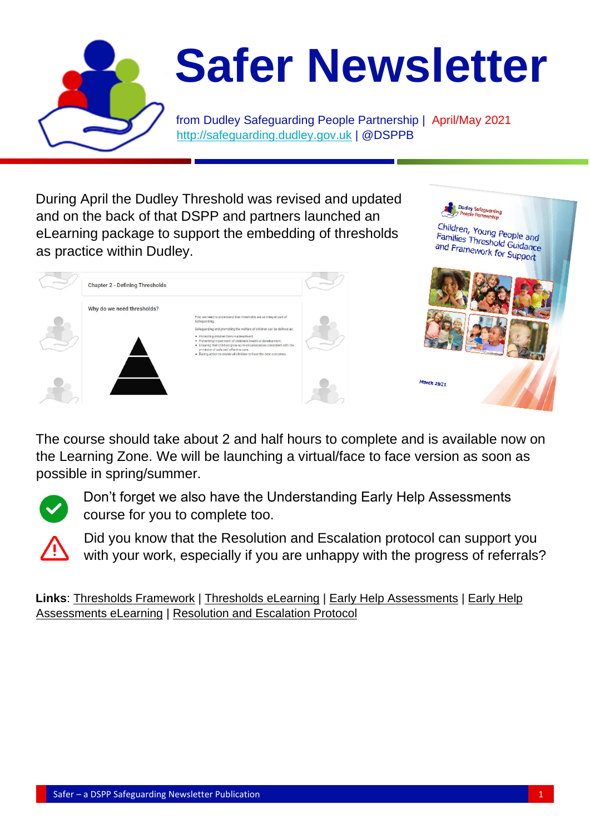

During April the Dudley Threshold was revised and updated and on the back of that DSPP and partners launched an eLearning package to support the embedding of thresholds as practice within Dudley.

Chapter 2 - Defining Thresholds

Why do we need thresholds?



The course should take about 2 and half hours to complete and is available now on the Learning Zone. We will be launching a virtual/face to face version as soon as possible in spring/summer.



Don't forget we also have the Understanding Early Help Assessments



Did you know that the Resolution and Escalation protocol can support you with your work, especially if you are unhappy with the progress of referrals?

**Links**: [Thresholds Framework](https://safeguarding.dudley.gov.uk/safeguarding/child/work-with-children-young-people/safeguarding-children-procedures/) | [Thresholds eLearning](https://dudleysafeguarding.event-booking.org/elearning-detail/%3DgDNxATM/Understanding-Thresholds-in-Dudley---Level-2) | [Early Help Assessments](https://safeguarding.dudley.gov.uk/safeguarding/child/work-with-children-young-people/dudley-early-help/) | [Early Help](https://dudleysafeguarding.event-booking.org/elearning-detail/%3DYDMxATM/Understanding-Early-Help-Assessments---Level-2)  [Assessments eLearning](https://dudleysafeguarding.event-booking.org/elearning-detail/%3DYDMxATM/Understanding-Early-Help-Assessments---Level-2) | [Resolution and Escalation Protocol](https://safeguarding.dudley.gov.uk/safeguarding/child/work-with-children-young-people/safeguarding-children-procedures/)

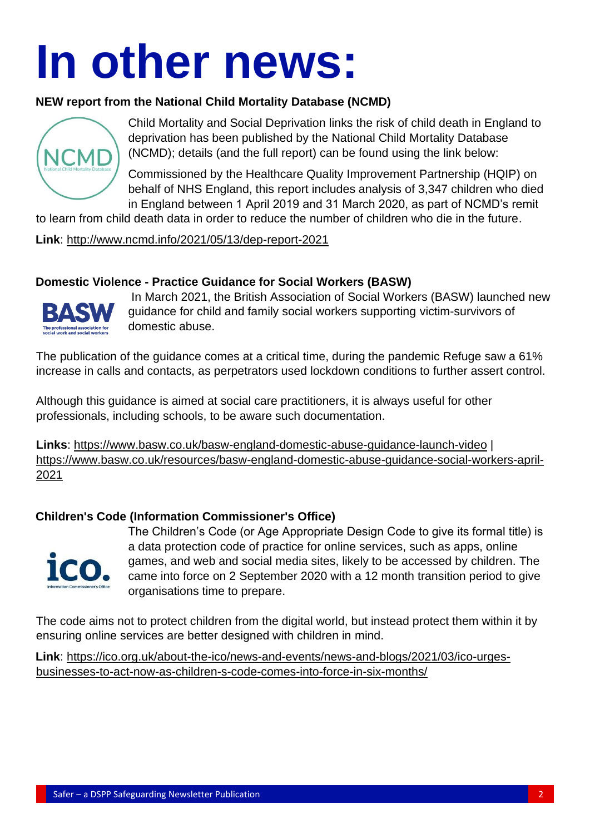# **In other news:**

# **NEW report from the National Child Mortality Database (NCMD)**



Child Mortality and Social Deprivation links the risk of child death in England to deprivation has been published by the National Child Mortality Database (NCMD); details (and the full report) can be found using the link below:

Commissioned by the Healthcare Quality Improvement Partnership (HQIP) on behalf of NHS England, this report includes analysis of 3,347 children who died in England between 1 April 2019 and 31 March 2020, as part of NCMD's remit

to learn from child death data in order to reduce the number of children who die in the future.

**Link**: <http://www.ncmd.info/2021/05/13/dep-report-2021>

# **Domestic Violence - Practice Guidance for Social Workers (BASW)**



In March 2021, the British Association of Social Workers (BASW) launched new guidance for child and family social workers supporting victim-survivors of domestic abuse.

The publication of the guidance comes at a critical time, during the pandemic Refuge saw a 61% increase in calls and contacts, as perpetrators used lockdown conditions to further assert control.

Although this guidance is aimed at social care practitioners, it is always useful for other professionals, including schools, to be aware such documentation.

**Links**: [https://www.basw.co.uk/basw-england-domestic-abuse-guidance-launch-video](https://www.basw.co.uk/basw-england-domestic-abuse-guidance-launch) | [https://www.basw.co.uk/resources/basw-england-domestic-abuse-guidance-social-workers-april-](https://www.basw.co.uk/resources/basw-england-domestic-abuse-guidance-social-workers-april-2021)[2021](https://www.basw.co.uk/resources/basw-england-domestic-abuse-guidance-social-workers-april-2021)

# **Children's Code (Information Commissioner's Office)**



The Children's Code (or Age Appropriate Design Code to give its formal title) is a data protection code of practice for online services, such as apps, online games, and web and social media sites, likely to be accessed by children. The came into force on 2 September 2020 with a 12 month transition period to give organisations time to prepare.

The code aims not to protect children from the digital world, but instead protect them within it by ensuring online services are better designed with children in mind.

**Link**: [https://ico.org.uk/about-the-ico/news-and-events/news-and-blogs/2021/03/ico-urges](https://ico.org.uk/about-the-ico/news-and-events/news-and-blogs/2021/03/ico-urges-businesses-to-act-now-as-children-s-code-comes-into-force-in-six-months/)[businesses-to-act-now-as-children-s-code-comes-into-force-in-six-months/](https://ico.org.uk/about-the-ico/news-and-events/news-and-blogs/2021/03/ico-urges-businesses-to-act-now-as-children-s-code-comes-into-force-in-six-months/)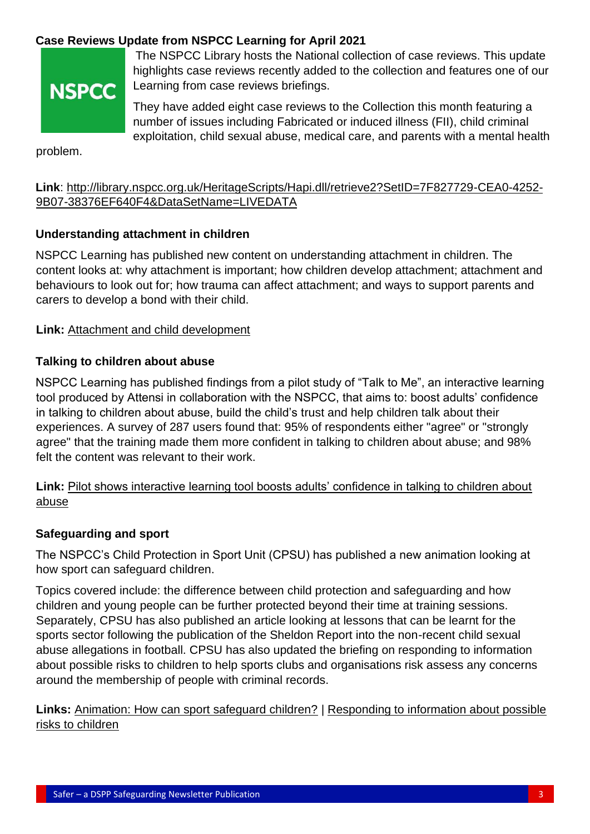# **Case Reviews Update from NSPCC Learning for April 2021**



The NSPCC Library hosts the National collection of case reviews. This update highlights case reviews recently added to the collection and features one of our Learning from case reviews briefings.

They have added eight case reviews to the Collection this month featuring a number of issues including Fabricated or induced illness (FII), child criminal exploitation, child sexual abuse, medical care, and parents with a mental health

problem.

# **Link**: [http://library.nspcc.org.uk/HeritageScripts/Hapi.dll/retrieve2?SetID=7F827729-CEA0-4252-](http://library.nspcc.org.uk/HeritageScripts/Hapi.dll/retrieve2?SetID=7F827729-CEA0-4252-9B07-38376EF640F4&DataSetName=LIVEDATA) [9B07-38376EF640F4&DataSetName=LIVEDATA](http://library.nspcc.org.uk/HeritageScripts/Hapi.dll/retrieve2?SetID=7F827729-CEA0-4252-9B07-38376EF640F4&DataSetName=LIVEDATA)

# **Understanding attachment in children**

NSPCC Learning has published new content on understanding attachment in children. The content looks at: why attachment is important; how children develop attachment; attachment and behaviours to look out for; how trauma can affect attachment; and ways to support parents and carers to develop a bond with their child.

# **Link:** [Attachment and child development](http://email.nspcc.org.uk/c/1cFxRNagXp8MjHq8Yv4NysuFIy)

# **Talking to children about abuse**

NSPCC Learning has published findings from a pilot study of "Talk to Me", an interactive learning tool produced by Attensi in collaboration with the NSPCC, that aims to: boost adults' confidence in talking to children about abuse, build the child's trust and help children talk about their experiences. A survey of 287 users found that: 95% of respondents either "agree" or "strongly agree" that the training made them more confident in talking to children about abuse; and 98% felt the content was relevant to their work.

**Link:** [Pilot shows interactive learning tool boosts adults' confidence in talking to children about](http://email.nspcc.org.uk/c/1cFxSv33L9bAOlcl50m7prfqI7)  [abuse](http://email.nspcc.org.uk/c/1cFxSv33L9bAOlcl50m7prfqI7)

#### **Safeguarding and sport**

The NSPCC's Child Protection in Sport Unit (CPSU) has published a new animation looking at how sport can safeguard children.

Topics covered include: the difference between child protection and safeguarding and how children and young people can be further protected beyond their time at training sessions. Separately, CPSU has also published an article looking at lessons that can be learnt for the sports sector following the publication of the Sheldon Report into the non-recent child sexual abuse allegations in football. CPSU has also updated the briefing on responding to information about possible risks to children to help sports clubs and organisations risk assess any concerns around the membership of people with criminal records.

**Links:** [Animation: How can sport safeguard children?](https://thecpsu.org.uk/resource-library/videos/how-can-sport-safeguard-children/) | [Responding to information about possible](https://thecpsu.org.uk/resource-library/best-practice/responding-to-information-about-possible-risks-to-children/)  [risks to children](https://thecpsu.org.uk/resource-library/best-practice/responding-to-information-about-possible-risks-to-children/)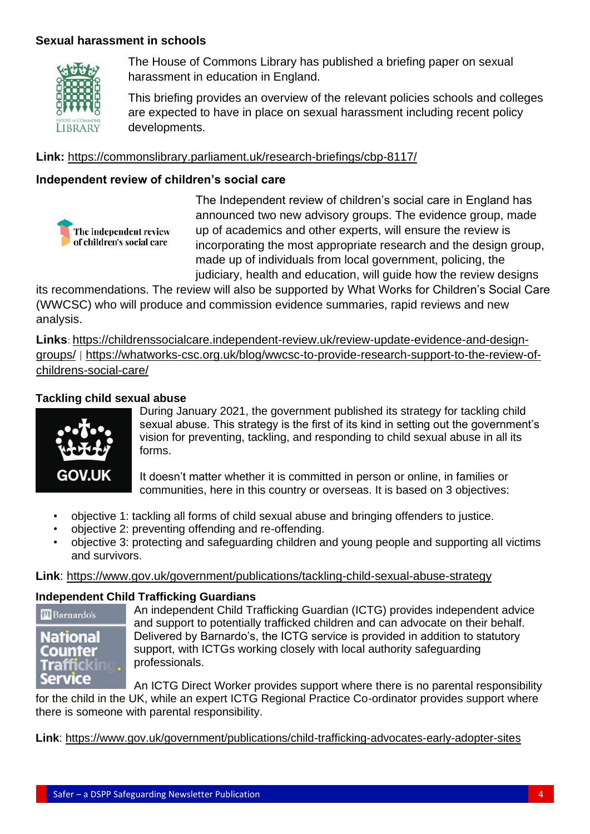# **Sexual harassment in schools**



The House of Commons Library has published a briefing paper on sexual harassment in education in England.

This briefing provides an overview of the relevant policies schools and colleges are expected to have in place on sexual harassment including recent policy developments.

#### **Link:** <https://commonslibrary.parliament.uk/research-briefings/cbp-8117/>

# **Independent review of children's social care**



The Independent review of children's social care in England has announced two new advisory groups. The evidence group, made up of academics and other experts, will ensure the review is incorporating the most appropriate research and the design group, made up of individuals from local government, policing, the judiciary, health and education, will guide how the review designs

its recommendations. The review will also be supported by What Works for Children's Social Care (WWCSC) who will produce and commission evidence summaries, rapid reviews and new analysis.

**Links**: [https://childrenssocialcare.independent-review.uk/review-update-evidence-and-design](https://childrenssocialcare.independent-review.uk/review-update-evidence-and-design-groups/)[groups/](https://childrenssocialcare.independent-review.uk/review-update-evidence-and-design-groups/) | [https://whatworks-csc.org.uk/blog/wwcsc-to-provide-research-support-to-the-review-of](https://whatworks-csc.org.uk/blog/wwcsc-to-provide-research-support-to-the-review-of-childrens-social-care/)[childrens-social-care/](https://whatworks-csc.org.uk/blog/wwcsc-to-provide-research-support-to-the-review-of-childrens-social-care/)

# **Tackling child sexual abuse**



During January 2021, the government published its strategy for tackling child sexual abuse. This strategy is the first of its kind in setting out the government's vision for preventing, tackling, and responding to child sexual abuse in all its forms.

It doesn't matter whether it is committed in person or online, in families or communities, here in this country or overseas. It is based on 3 objectives:

- objective 1: tackling all forms of child sexual abuse and bringing offenders to justice.
- objective 2: preventing offending and re-offending.
- objective 3: protecting and safeguarding children and young people and supporting all victims and survivors.

#### **Link**:<https://www.gov.uk/government/publications/tackling-child-sexual-abuse-strategy>

#### **Independent Child Trafficking Guardians**

| u Barnardos |  |
|-------------|--|
| National    |  |
| ounter      |  |
| Trai        |  |
|             |  |

An independent Child Trafficking Guardian (ICTG) provides independent advice and support to potentially trafficked children and can advocate on their behalf. Delivered by Barnardo's, the ICTG service is provided in addition to statutory support, with ICTGs working closely with local authority safeguarding professionals.

An ICTG Direct Worker provides support where there is no parental responsibility for the child in the UK, while an expert ICTG Regional Practice Co-ordinator provides support where there is someone with parental responsibility.

**Link**:<https://www.gov.uk/government/publications/child-trafficking-advocates-early-adopter-sites>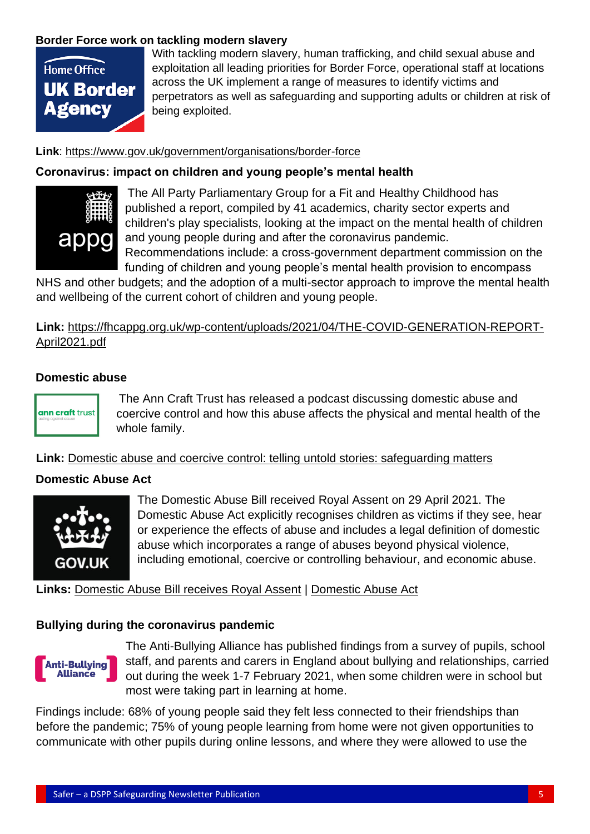# **Border Force work on tackling modern slavery**



With tackling modern slavery, human trafficking, and child sexual abuse and exploitation all leading priorities for Border Force, operational staff at locations across the UK implement a range of measures to identify victims and perpetrators as well as safeguarding and supporting adults or children at risk of being exploited.

#### **Link**:<https://www.gov.uk/government/organisations/border-force>

#### **Coronavirus: impact on children and young people's mental health**



The All Party Parliamentary Group for a Fit and Healthy Childhood has published a report, compiled by 41 academics, charity sector experts and children's play specialists, looking at the impact on the mental health of children and young people during and after the coronavirus pandemic.

Recommendations include: a cross-government department commission on the funding of children and young people's mental health provision to encompass

NHS and other budgets; and the adoption of a multi-sector approach to improve the mental health and wellbeing of the current cohort of children and young people.

# **Link:** [https://fhcappg.org.uk/wp-content/uploads/2021/04/THE-COVID-GENERATION-REPORT-](https://fhcappg.org.uk/wp-content/uploads/2021/04/THE-COVID-GENERATION-REPORT-April2021.pdf)[April2021.pdf](https://fhcappg.org.uk/wp-content/uploads/2021/04/THE-COVID-GENERATION-REPORT-April2021.pdf)

#### **Domestic abuse**



The Ann Craft Trust has released a podcast discussing domestic abuse and coercive control and how this abuse affects the physical and mental health of the whole family.

**Link:** [Domestic abuse and coercive control: telling untold stories: safeguarding matters](http://email.nspcc.org.uk/c/1cFyu0SMhvAL0loGDKa5HndBl2)

#### **Domestic Abuse Act**



The Domestic Abuse Bill received Royal Assent on 29 April 2021. The Domestic Abuse Act explicitly recognises children as victims if they see, hear or experience the effects of abuse and includes a legal definition of domestic abuse which incorporates a range of abuses beyond physical violence, including emotional, coercive or controlling behaviour, and economic abuse.

#### **Links:** [Domestic Abuse Bill receives Royal Assent](https://www.gov.uk/government/news/landmark-domestic-abuse-bill-receives-royalassent) | [Domestic Abuse Act](https://bills.parliament.uk/bills/2709)

#### **Bullying during the coronavirus pandemic**



The Anti-Bullying Alliance has published findings from a survey of pupils, school staff, and parents and carers in England about bullying and relationships, carried out during the week 1-7 February 2021, when some children were in school but most were taking part in learning at home.

Findings include: 68% of young people said they felt less connected to their friendships than before the pandemic; 75% of young people learning from home were not given opportunities to communicate with other pupils during online lessons, and where they were allowed to use the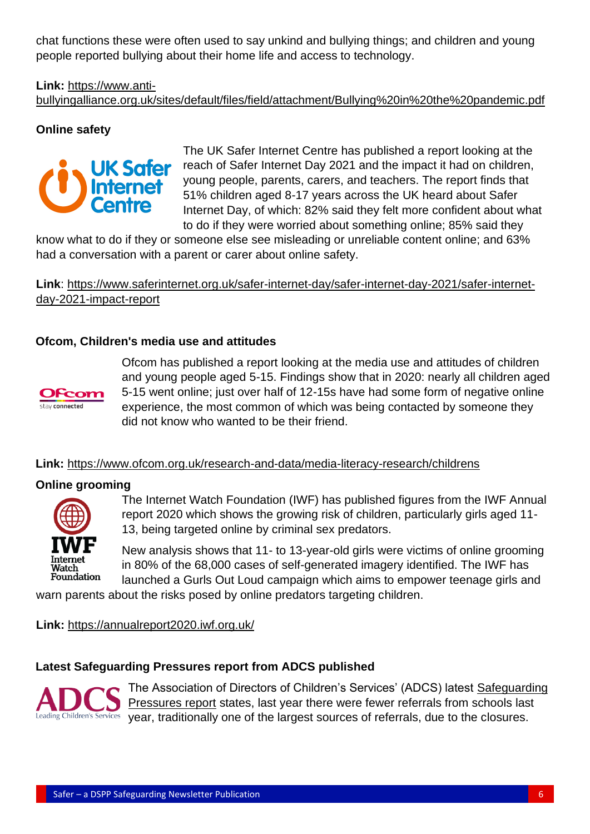chat functions these were often used to say unkind and bullying things; and children and young people reported bullying about their home life and access to technology.

# **Link:** [https://www.anti-](https://www.anti-bullyingalliance.org.uk/sites/default/files/field/attachment/Bullying%20in%20the%20pandemic.pdf)

[bullyingalliance.org.uk/sites/default/files/field/attachment/Bullying%20in%20the%20pandemic.pdf](https://www.anti-bullyingalliance.org.uk/sites/default/files/field/attachment/Bullying%20in%20the%20pandemic.pdf)

# **Online safety**



The UK Safer Internet Centre has published a report looking at the reach of Safer Internet Day 2021 and the impact it had on children, young people, parents, carers, and teachers. The report finds that 51% children aged 8-17 years across the UK heard about Safer Internet Day, of which: 82% said they felt more confident about what to do if they were worried about something online; 85% said they

know what to do if they or someone else see misleading or unreliable content online; and 63% had a conversation with a parent or carer about online safety.

**Link**: [https://www.saferinternet.org.uk/safer-internet-day/safer-internet-day-2021/safer-internet](https://www.saferinternet.org.uk/safer-internet-day/safer-internet-day-2021/safer-internet-day-2021-impact-report)[day-2021-impact-report](https://www.saferinternet.org.uk/safer-internet-day/safer-internet-day-2021/safer-internet-day-2021-impact-report)

# **[Ofcom, Children's media use and attitudes](https://education.us1.list-manage.com/track/click?u=06b92c76aae9a855ba042970c&id=e83ab1970b&e=9450688cbe)**



Ofcom has published a report looking at the media use and attitudes of children and young people aged 5-15. Findings show that in 2020: nearly all children aged 5-15 went online; just over half of 12-15s have had some form of negative online experience, the most common of which was being contacted by someone they did not know who wanted to be their friend.

# **Link:** <https://www.ofcom.org.uk/research-and-data/media-literacy-research/childrens>

#### **Online grooming**



The Internet Watch Foundation (IWF) has published figures from the IWF Annual report 2020 which shows the growing risk of children, particularly girls aged 11- 13, being targeted online by criminal sex predators.

New analysis shows that 11- to 13-year-old girls were victims of online grooming in 80% of the 68,000 cases of self-generated imagery identified. The IWF has launched a Gurls Out Loud campaign which aims to empower teenage girls and

warn parents about the risks posed by online predators targeting children.

**Link:** <https://annualreport2020.iwf.org.uk/>

# **Latest Safeguarding Pressures report from ADCS published**



The Association of Directors of Children's Services' (ADCS) latest [Safeguarding](https://adcs.org.uk/safeguarding/article/safeguarding-pressures)  [Pressures report](https://adcs.org.uk/safeguarding/article/safeguarding-pressures) states, last year there were fewer referrals from schools last Leading Children's Services year, traditionally one of the largest sources of referrals, due to the closures.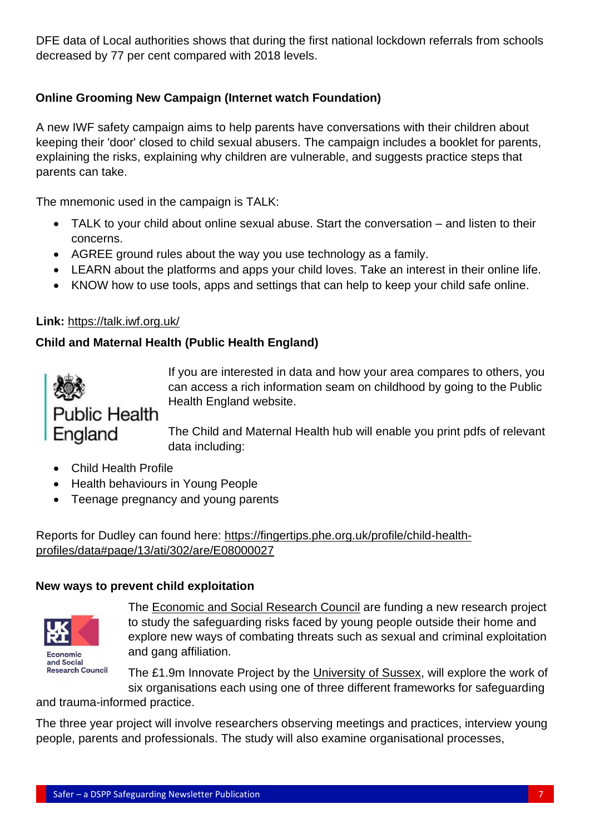DFE data of Local authorities shows that during the first national lockdown referrals from schools decreased by 77 per cent compared with 2018 levels.

# **Online Grooming New Campaign (Internet watch Foundation)**

A new IWF safety campaign aims to help parents have conversations with their children about keeping their 'door' closed to child sexual abusers. The campaign includes a booklet for parents, explaining the risks, explaining why children are vulnerable, and suggests practice steps that parents can take.

The mnemonic used in the campaign is TALK:

- TALK to your child about online sexual abuse. Start the conversation and listen to their concerns.
- AGREE ground rules about the way you use technology as a family.
- LEARN about the platforms and apps your child loves. Take an interest in their online life.
- KNOW how to use tools, apps and settings that can help to keep your child safe online.

#### **Link:** <https://talk.iwf.org.uk/>

# **Child and Maternal Health (Public Health England)**



If you are interested in data and how your area compares to others, you can access a rich information seam on childhood by going to the Public Health England website.

The Child and Maternal Health hub will enable you print pdfs of relevant data including:

- Child Health Profile
- Health behaviours in Young People
- Teenage pregnancy and young parents

Reports for Dudley can found here: [https://fingertips.phe.org.uk/profile/child-health](https://fingertips.phe.org.uk/profile/child-health-profiles/data#page/13/ati/302/are/E08000027)[profiles/data#page/13/ati/302/are/E08000027](https://fingertips.phe.org.uk/profile/child-health-profiles/data#page/13/ati/302/are/E08000027)

#### **New ways to prevent child exploitation**



The [Economic and Social Research Council](https://esrc.ukri.org/?) are funding a new research project to study the safeguarding risks faced by young people outside their home and explore new ways of combating threats such as sexual and criminal exploitation and gang affiliation.

The £1.9m Innovate Project by the [University of Sussex,](https://www.sussex.ac.uk/) will explore the work of six organisations each using one of three different frameworks for safeguarding

and trauma-informed practice.

The three year project will involve researchers observing meetings and practices, interview young people, parents and professionals. The study will also examine organisational processes,